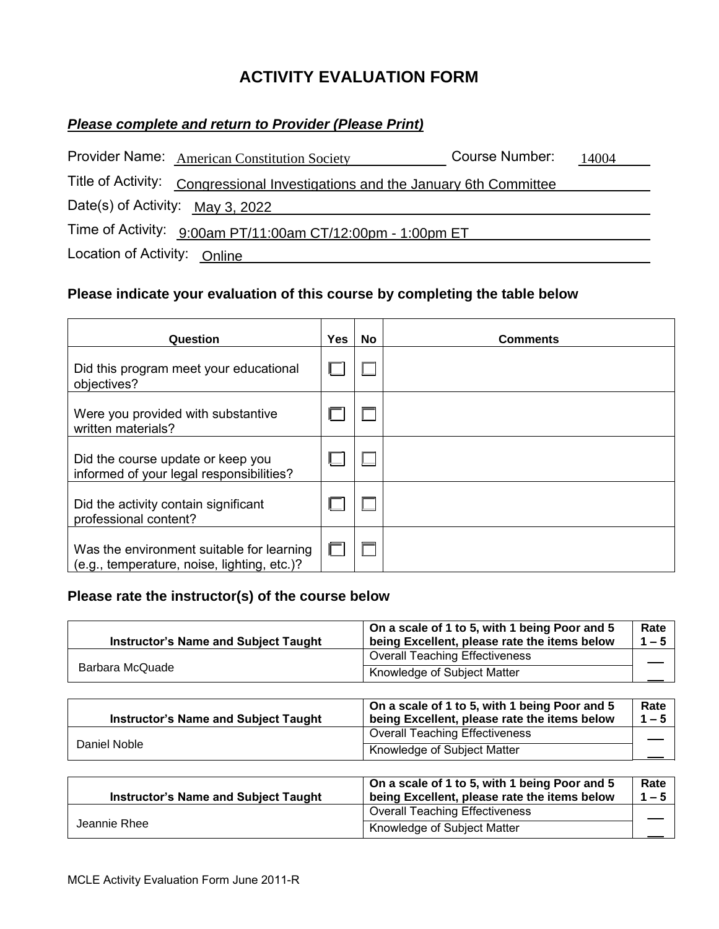## **ACTIVITY EVALUATION FORM**

## *Please complete and return to Provider (Please Print)*

|                                  | Provider Name: American Constitution Society                                  | Course Number: | 14004 |
|----------------------------------|-------------------------------------------------------------------------------|----------------|-------|
|                                  | Title of Activity: Congressional Investigations and the January 6th Committee |                |       |
| Date(s) of Activity: May 3, 2022 |                                                                               |                |       |
|                                  | Time of Activity: 9:00am PT/11:00am CT/12:00pm - 1:00pm ET                    |                |       |
| Location of Activity: Online     |                                                                               |                |       |

## **Please indicate your evaluation of this course by completing the table below**

| Question                                                                                 | <b>Yes</b> | No | <b>Comments</b> |
|------------------------------------------------------------------------------------------|------------|----|-----------------|
| Did this program meet your educational<br>objectives?                                    |            |    |                 |
| Were you provided with substantive<br>written materials?                                 |            |    |                 |
| Did the course update or keep you<br>informed of your legal responsibilities?            |            |    |                 |
| Did the activity contain significant<br>professional content?                            |            |    |                 |
| Was the environment suitable for learning<br>(e.g., temperature, noise, lighting, etc.)? |            |    |                 |

## **Please rate the instructor(s) of the course below**

| <b>Instructor's Name and Subject Taught</b> | On a scale of 1 to 5, with 1 being Poor and 5<br>being Excellent, please rate the items below | Rate<br>$1 - 5$ |
|---------------------------------------------|-----------------------------------------------------------------------------------------------|-----------------|
|                                             | <b>Overall Teaching Effectiveness</b>                                                         |                 |
| Barbara McQuade                             | Knowledge of Subject Matter                                                                   |                 |

|  | <b>Instructor's Name and Subject Taught</b> | On a scale of 1 to 5, with 1 being Poor and 5<br>being Excellent, please rate the items below | Rate<br>$1 - 5$ |
|--|---------------------------------------------|-----------------------------------------------------------------------------------------------|-----------------|
|  | Daniel Noble                                | <b>Overall Teaching Effectiveness</b>                                                         |                 |
|  |                                             | Knowledge of Subject Matter                                                                   |                 |

| <b>Instructor's Name and Subject Taught</b> | On a scale of 1 to 5, with 1 being Poor and 5<br>being Excellent, please rate the items below | Rate<br>$1 - 5$ |
|---------------------------------------------|-----------------------------------------------------------------------------------------------|-----------------|
| Jeannie Rhee                                | <b>Overall Teaching Effectiveness</b>                                                         |                 |
|                                             | Knowledge of Subject Matter                                                                   |                 |